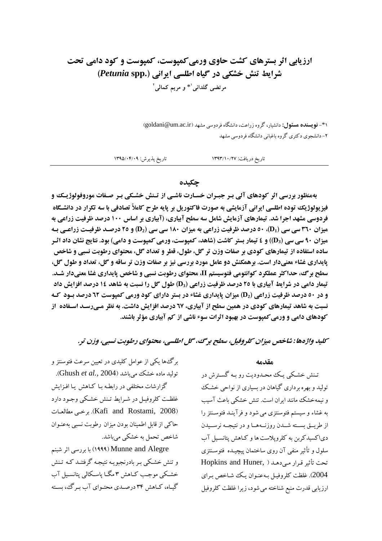# ارزیابی اثر بسترهای کشت حاوی ورمی کمیوست، کمیوست و کود دامی تحت شرایط تنش خشکی در گیاه اطلسی ایرانی (Petunia spp.) مرتضى گلدانى'\* و مريم كمالى'

۱\*- **نویسنده هسئول:** دانشیار، گروه زراعت، دانشگاه فردوسی مشهد (goldani@um.ac.ir) ۲– دانشجوی دکتری گروه باغبانی دانشگاه فردوسی مشهد

تاريخ پذيرش: ١٣٩٥/٠۴/٠٩ تاريخ دريافت: ١٣٩٣/١٠/٢٧

چکیده

بهمنظور بررسی اثر کودهای آلی بـر جبـران خسـارت ناشـی از تـنش خشـکی بـر صـفات موروفولوژیـک و فیزیولوژیک توده اطلسی ایرانی آزمایشی به صورت فاکتوریل بر پایه طرح کاملاً تصادفی با سه تکرار در دانشگاه فردوسی مشهد اجرا شد. تیمارهای آزمایش شامل سه سطح آبیاری، (آبیاری بر اساس ۱۰۰ درصد ظرفیت زراعی به میزان ۳۹۰ سی سی (D1)، ۵۰ درصد ظرفیت زراعی به میزان ۱۸۰ سی سی (D2) و ۲۵ درصـد ظرفیـت زراعـی بـه میزان ۹۰ سی سی (D3)) و ٤ تیمار بستر کاشت (شاهد، کمپوست، ورمی کمپوست و دامی) بود. نتایج نشان داد اثـر ساده استفاده از تیمارهای کودی بر صفات وزن تر گل، طول، قطر و تعداد گل، محتوای رطوبت نسبی و شاخص پایداری غشاء معنیدار است. برهمکنش دو عامل مورد بررسی نیز بر صفات وزن تر ساقه و گل، تعداد و طول گل، سطح برگ، حداکثر عملکرد کوانتومی فتوسیستم II، محتوای رطوبت نسبی و شاخص پایداری غشا معنیدار شـد. تیمار دامی در شرایط آبیاری با ۲٥ درصد ظرفیت زراعی (D3) طول گل را نسبت به شاهد ۱٤ درصد افزایش داد **و در ۵۰ درصد ظرفیت زراعی (D2) میزان پایداری غشاء در بستر دارای کود ورمی کمپوست 3۲ درصد بـود کـه** نسبت به شاهد تیمارهای کودی در همین سطح از آبیاری، ٦٧ درصد افزایش داشت. به نظر مـیرسـد اسـفاده آز کودهای دامی و ورمی کمپوست در بهبود اثرات سوء ناشی از کم آبیاری مؤثر باشند.

کلید واژهها : شاخص میزان کلروفیل، سطح برگ، گل اطلسی، محتوای رطوبت نسبی، وزن تر.

برگ ها یکی از عوامل کلیدی در تعیین سرعت فتوسنتز و تولید ماده خشک می باشد (Ghush *et al.*, 2004). گزارشات مختلفی در رابطه بـا کـاهش پـا افـزايش غلظت کلروفیـل در شـرایط تـنش خشـکی وجـود دارد (Kafi and Rostami, 2008). بو خبي مطالعيات حاکی از قابل اطمینان بودن میزان رطوبت نسبی بهعنـوان شاخص تحمل به خشکی میباشد.

Munne and Alegre) با بررسی اثر شبنم و تنش خشکی بـر بادرنجبویـه نتیجـه گرفتنـد کـه تـنش خشکی موجب کـاهش ۳ مگـا پاسـکالی پتانسـیل آب گیاه، کـاهش ۳۴ درصـدي محتـواي آب بـرگ، بسـته

#### مقدمه

تـنش خشـكي يـك محـدوديت رو بـه گسـترش در تولید و بهره برداری گیاهان در بسیاری از نواحی خشک و نیمهخشک مانند ایران است. تنش خشکی باعث آسیب به غشاء و سیستم فتوسنتزی می شود و فرآینـد فتوسـنتز را از طريق بسته شـدن روزنــههـا و در نتيجــه نرسـيدن دیاکسیدکربن به کلروپلاست ها و کاهش پتانسیل آب سلول و تأثیر منفی آن روی ساختمان پیچیـده فتوسـنتزی تحت تأثير قرار مي دهد ( Hopkins and Huner, 2004). غلظت كلروفيـل بـهعنـوان يـك شـاخص بـراي ارزیابی قدرت منبع شناخته می شود، زیرا غلظت کلروفیل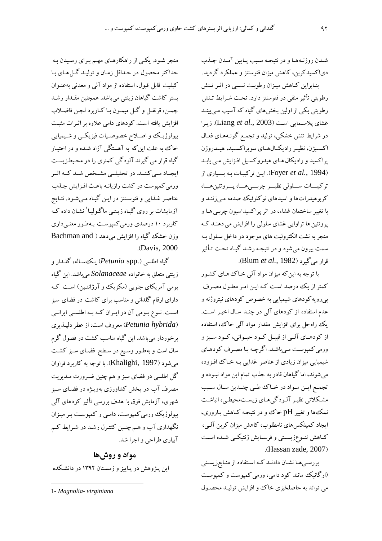شـدن روزنـههـا و در نتيجـه سـبب يـايين آمـدن جـذب دیاکسیدکربن، کاهش میزان فتوسنتز و عملکرد گردید. بنـابراین کـاهش میـزان رطوبـت نسـبی در اثـر تـنش رطوبتی تأثیر منفی در فتوسنتز دارد. تحت شرایط تـنش رطوبتی یکی از اولین بخشهای گیاه که آسیب مـی.پینـد غشای پلاسـمایی اسـت (Liang et al., 2003). زیـرا در شرایط تنش خشکی، تولید و تجمع گونـههـای فعـال اکسیژن، نظیـر رادیکـال.هـای سویراکسـید، هیــدروژن پراکسید و رادیکال هـای هیدروکسـیل افـزایش مـی یابـد (Foyer et al., 1994). این تر کیبات به بسیاری از تر کيبسات سسلولي نظيسر چربسي هسا، پسروتئين هسا، کربوهیدراتها و اسیدهای نوکلوئیک صدمه میزننـد و با تغییر ساختمان غشاء، در اثر پراکسیداسیون چرببی هـا و پروتئین ها تراوایی غشای سلولی را افزایش می دهنـد کـه منجر به نشت الکترولیت های موجود در داخل سلول بـه سمت بیرون می شود و در نتیجـه رشـد گیـاه تحـت تـأثیر قرار میگیرد (Blum et al., 1982).

با توجه به این که میزان مواد آلمی خـاک هـای کشـور کمتر از یک درصد است کـه ایـن امـر معلـول مصـرف بپرویه کودهای شیمیایی به خصوص کودهای نیتروژنه و عدم استفاده از کودهای آلمی در چنـد سـال اخیـر اسـت. یک راهحل برای افزایش مقدار مواد آلمی خاک، استفاده از کودهـای آلـی از قبيـل کـود حيـوانی، کـود سـبز و ورمي كمپوست مي باشد. اگرچه با مصرف كودهاي شیمیایی میزان زیادی از عناصر غدایی بـه خـاک افـزوده می شوند، اما گیاهان قادر به جذب تمام این مواد نبـوده و تجمع ايـن مـواد در خـاك طـي چنـدين سـال سـبب مشکلاتی نظیر آلودگیهای زیستمحیطی، انباشت نمک،ها و تغییر pH خاک و در نتیجه کـاهش بـاروری، ایجاد کمیلکس های نامطلوب، کاهش میزان کربن آلبی، كـاهش تنـوعزيسـتي و فرسـايش ژنتيكـي شـده اسـت .(Hassan zade, 2007)

بررسی ها نشان دادنـد کـه اسـتفاده از منـابعزیسـتی (ارگانیک مانند کود دامی، ورمی کمپوست و کمپوست مي تواند به حاصلخيزي خاك و افزايش توليـد محصـول

منجر شـود. یکـي از راهکارهـاي مهـم بـراي رسـيدن بـه حداکثر محصول در حـداقل زمـان و توليـد گـل هـاي بـا کیفیت قابل قبول، استفاده از مواد آلمی و معدنی بهعنـوان بستر کاشت گیاهان زینتی میباشد. همچنین مقـدار رشـد چمـن، قرنفـل و گـل ميمـون بـا كـاربرد لجـن فاضـلاب افزایش یافته است. کودهای دامی علاوه بر اثـرات مثبـت بیولوژیک و اصلاح خصوصیات فیزیکسی و شیمیایی خاک به علت این که به آهستگی آزاد شـده و در اختیـار گیاه قرار می گیرند آلودگی کمتری را در محیطزیست ایجـاد مـی کننــد. در تحقیقــی مشـخص شــد کــه اثــر ورمی کمپوست در کشت رازیانـه باعـث افـزایش جـذب عناصر غـذایی و فتوسـنتز در ایـن گیـاه مـیشـود. نتـایج آزمایشات بر روی گیـاه زینتـی ماگنولیـا<sup>'</sup> نشـان داده کـه کاربرد ۱۰ درصدی ورمی کمپوست بهطور معنی داری وزن خشک گیاه را افزایش می دهد ( Bachman and .(Davis, 2000)

گياه اطلسي (Petunia spp.) يك ساله، گلـدار و زینتی متعلق به خانواده Solanaceae میباشد. این گیاه بومی آمریکای جنوبی (مکزیک و آرژانتین) است کـه دارای ارقام گلدانی و مناسب برای کاشت در فضای سبز است. نـوع بـومي آن در ايـران كـه بـه اطلسـي ايرانـي (Petunia hybrida) معروف است، از عطر دلپذیری برخوردار میباشد. این گیاه مناسب کشت در فصول گرم سال است و بهطور وسیع در سطح فضای سبز کشت می شود (Khalighi, 1997). با توجه به کاربرد فراوان گل اطلسی در فضای سبز و هم چنین ضرورت مـدیریت مصرف آب در بخش کشاورزی بهویـژه در فضـای سـبز شهری، آزمایش فوق با هدف بررسی تأثیر کودهای آلمی بیولوژیک ورمی کمپوست، دامبی و کمپوست بـر میـزان .<br>نگهداری آب و هـم چنـین کنتـرل رشـد در شـرایط کـم آبياري طراحي و اجرا شد.

مواد و روشها این پـژوهش در پـاییز و زمسـتان ۱۳۹۲ در دانشـکده

<sup>1-</sup> Magnolia- virginiana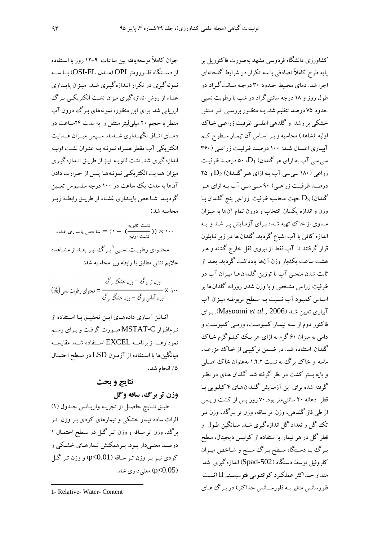جوان كاملاً توسعه يافته بين ساعات ٩–١٢ روز با اسـتفاده از دســتگاه فلــورومتر OPI(مــدل OSI-FL) بــا ســه نمونه گیری در تکرار انـدازهگیـری شـد. میـزان پایـداری غشاء از روش اندازهگیری میزان نشت الکتریکـی بـرگ ارزیابی شد. برای این منظور، نمونههای بـرگ درون آب مقطر با حجم ۲۰ میلی لیتر منتقل و به مدت ۲۴ساعت در دمـاي اتـاق نگهـداري شـدند. سـپس ميـزان هـدايت الکتریکی آب مقطر همـراه نمونـه بـه عنـوان نشـت اولیـه اندازه گیری شد. نشت ثانویـه نیـز از طریـق انــدازهگیـری ميزان هدايت الكتريكي نمونـههـا يـس از حـرارت دادن آنها به مدت یک ساعت در ۱۰۰ درجه سلسیوس تعیین گرديـد. شـاخص پايـداري غشـاء از طريـق رابطـه زيـر محاسبه شد:

نشت ثانویه $(1 - ( \sum_{i=1}^{i,j=1} p_i) \times p_i) = 1$ شاخص پایداری غشاء محتـوای رطوبـت نسـبي ٰ پـرگ نبـز بعـد از مشـاهده علايم تنش مطابق با رابطه زير محاسبه شد:

آنالیز آماری دادههای این تحقیق با استفاده از نرمافزار MSTAT-C صورت گرفت و برای رسم نمو دار هسا از برنامسه EXCEL اسستفاده شسد. مقایسسه میانگینها با استفاده از آزمون LSD در سطح احتمـال ۵٪ انجام شد.

## نتايج و بحث وزن تر برگ، ساقه وگل

طبق نتايج حاصل از تجزيه واريانس جدول (١) اثرات ساده تیمار خشکی و تیمارهای کودی بـر وزن تـر برگ، وزن تر ساقه و وزن تـر گــل در سـطح احتمـال ۱ درصـد معنـیدار بـود. بـرهمکنش تیمارهـای خشـکی و کودی نیز بر وزن تر ساقه ( p<0.01) و وزن تر گل معنی داری شد. (p<0.05

کشاورزی دانشگاه فردوسی مشهد بهصورت فاکتوریل بر پایه طرح کاملاً تصادفی با سه تکرار در شرایط گلخانهای اجرا شد. دمای محیط حـدود ۳۰ درجـه سـانت گـراد در طول روز و ۱۸ درجه سانتیگراد در شب با رطوبت نسبی حدود ۷۵ درصد تنظیم شد. بـه منظـور بررسـی اثـر تـنش خشکي بر رشد و گلدهي اطلسي ظرفيت زراعـي خـاک اولیه (شاهد) محاسبه و بـر اسـاس آن تیمـار سـطوح کـم آبیاری اعمال شد: ۱۰۰ درصد ظرفیت زراعبی (۳۶۰ سی سی آب به ازای هر گلدان)  $\mathrm{D}_1$  ۵۰ درصـد ظرفیـت زراعی (۱۸۰ سیسی آب بـه ازای هـر گلـدان)  $\mathrm{D}_2$  و ۲۵ درصـد ظرفیـت زراعـی( ۹۰ سـی سـی آب بـه ازای هـر گلدان)  $\mathrm{D}_3$  جهت محاسبه ظرفیت زراعی پنج گلـدان بـا وزن و اندازه یکسان انتخاب و درون تمام آنها به میـزان مساوی از خاک تهیه شـده بـرای آزمـایش پـر شـد و بـه اندازه کافی با آب اشباع گردید. گلدان ها در زیر نـایلون قرار گرفتند تا آب فقط از نیروی ثقل خارج گشته و هـر هشت ساعت یکءبار وزن آنها یادداشت گردید. بعـد از ثابت شدن منحنی آب با توزین گلـدانهـا میـزان آب در ظرفیت زراعی مشخص و با وزن شدن روزانه گلدان ها بر اساس كمبود آب نسبت بـه سـطح مربوطـه ميـزان آب آبیاری تعیین شـد (Masoomi *et al., 2006). بر*ای فاکتور دوم از سـه تیمـار کمپوسـت، ورمـى کمپوسـت و دامی به میزان ۶۰ گرم به ازای هر یک کیلـوگرم خـاک گلدان استفاده شد. در ضمن ترکیبی از خـاک مزرعـه، ماسه و خاک و گ په نسبت ۱:۲:۲ په عنوان خاک اصلي و پایه بستر کشت در نظر گرفته شد. گلدان هـای در نظـر گرفته شده برای این آزمایش گلـدان۱عای ۴کیلـویی بـا قطر دهانه ۲۰ سانتیمتر بود.۷۰ روز پس از کشت و پــس از طی فاز گلدهی، وزن تر ساقه، وزن تر بـرگ، وزن تـر تک گل و تعداد گل اندازهگیری شـد. میـانگین طـول و قطر گل در هر تیمار با استفاده از کولیس دیجیتال، سطح بـرگ بـا دسـتگاه سـطح بـرگ سـنج و شـاخص ميـزان کلروفیل توسط دستگاه (Spad-502) اندازهگیری شد. مقدار حـداكثر عملكـرد كوانتـومي فتوسيسـتم II (نسبت .<br>فلورسانس متغیر بـه فلورســانس حداکثر ) در بـرگ هـای

<sup>1-</sup> Relative- Water- Content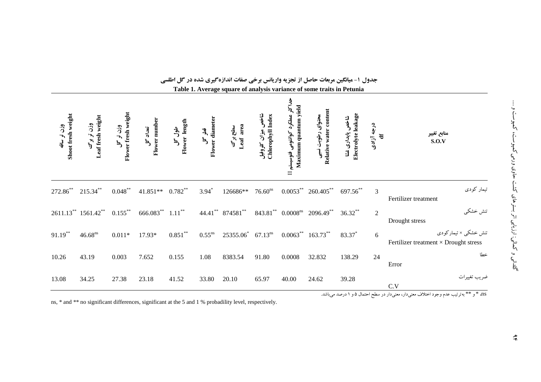|                                                                                      |                                 |                                  |                           |                          |                           |                                  |                                         |                                                                          | Table 1. Average square of analysis variance of some traits in Petunia |                                         |                          |                                                                      |
|--------------------------------------------------------------------------------------|---------------------------------|----------------------------------|---------------------------|--------------------------|---------------------------|----------------------------------|-----------------------------------------|--------------------------------------------------------------------------|------------------------------------------------------------------------|-----------------------------------------|--------------------------|----------------------------------------------------------------------|
| Shoot fresh weight<br>وزن تر ساقه                                                    | وزن تر برگ<br>Leaf fresh weight | Flower fresh weight<br>وزن تر گل | Flower number<br>تعداد گل | ملول کل<br>Flower length | فطر کل<br>Flower diameter | سطح برگ<br>Leaf area             | شاخص میزان کلروفیل<br>Chlorophyll Index | ید<br>جہا<br>جہا<br>Maximum quantum yield<br>عملکرد کوانتومی فتوسیستم II | Relative water content<br>محتواي رطوبت نسيى                            | Electrolyte leakage<br>شاخص پایداری غشا | درجه آزادی<br>$\ddot{a}$ | منابع تغيير<br>S.O.V                                                 |
| 272.86**                                                                             | $215.34***$                     | $0.048***$                       | 41.851** 0.782**          |                          | $3.94*$                   | 126686**                         | 76.60 <sup>ns</sup>                     |                                                                          | $0.0053^{**}$ 260.405 <sup>**</sup>                                    | 697.56**                                | 3                        | تیمار کودی<br>Fertilizer treatment                                   |
|                                                                                      | 2611.13** 1561.42** 0.155**     |                                  |                           | $666.083$ ** $1.11$ **   |                           | 44.41** 874581**                 |                                         |                                                                          | 843.81** 0.0008 <sup>ns</sup> 2096.49**                                | $36.32***$                              | $\sqrt{2}$               | تنش خشكي<br>Drought stress                                           |
| $91.19***$                                                                           | $46.68^{ns}$                    | $0.011*$                         | 17.93*                    | $0.851***$               | $0.55$ <sup>ns</sup>      | $25355.06^*$ 67.13 <sup>ns</sup> |                                         |                                                                          | $0.0063^{**}$ 163.73**                                                 | 83.37*                                  | 6                        | تنش خشکی × تیمارکودی<br>Fertilizer treatment $\times$ Drought stress |
| 10.26                                                                                | 43.19                           | 0.003                            | 7.652                     | 0.155                    | 1.08                      | 8383.54                          | 91.80                                   | 0.0008                                                                   | 32.832                                                                 | 138.29                                  | 24                       | خطا<br>Error                                                         |
| 13.08                                                                                | 34.25                           | 27.38                            | 23.18                     | 41.52                    | 33.80                     | 20.10                            | 65.97                                   | 40.00                                                                    | 24.62                                                                  | 39.28                                   |                          | ضريب تغييرات<br>C.V                                                  |
| ns، * و ** بهترتیب عدم وجود اختلاف معنیدار، معنیدار در سطح احتمال ۵ و ۱ درصد میباشد. |                                 |                                  |                           |                          |                           |                                  |                                         |                                                                          |                                                                        |                                         |                          |                                                                      |

جدول ۱- میانگین مربعات حاصل از تجزیه واریانس برخی صفات اندازهگیری شده در گل اطلسی

ns, \* and \*\* no significant differences, significant at the 5 and 1 % probadility level, respectively.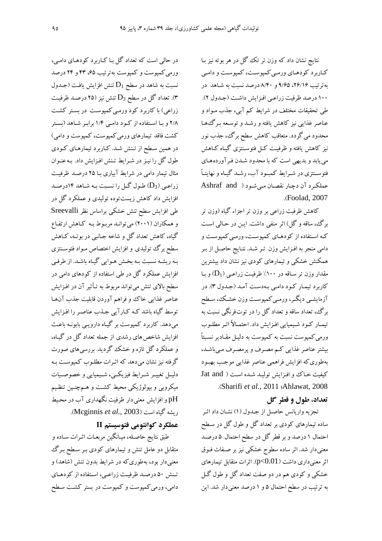نتایج نشان داد که وزن تر تک گل در هر بوته نیز بـا کـاربرد کودهـاي ورمـي کمپوسـت، کمپوسـت و دامـي بهترتیب ۲۶/۱۶، ۹/۶۵ و ۸/۴۰ درصد نسبت به شـاهد در ۱۰۰ درصد ظرفیت زراعی افزایش داشت (جدول ۲). طی تحقیقات مختلف در شرایط کم آبی، جذب مـواد و عناصر غذایی نیز کاهش یافته و رشـد و توسـعه بـرگءهـا محدود می گردد. متعاقب کاهش سطح برگ، جذب نور نیز کاهش یافته و ظرفیت کـل فتوسـنتزی گیـاه کـاهش می یابد و بدیهی است که با محدود شـدن فـرآوردههـای فتوسـنتزی در شـرايط كمبـود آب، رشـد گيـاه و نهايتـاً عملكرد آن دجار نقصان مي شود ( Ashraf and .(Foolad, 2007)

کاهش ظرفیت زراعی بر وزن تر اجزاء گیاه (وزن تر برگ، ساقه و گل) اثر منفی داشت. ایـن در حـالی اسـت کـه اسـتفاده از کودهـای کمیوسـت، ورمـی کمیوسـت و دامی منجر به افـزایش وزن تـر شـد. نتـایج حاصـل از بـر همکنش خشکی و تیمارهای کودی نیز نشان داد بیشترین مقدار وزن تر ساقه در ۱۰۰٪ ظرفیت زراعبی ( $D_1$ ) و با کاربرد تیمار کود دامی بهدست آمد (جدول ۳). در آزمایشـي دیگـر، ورمـي كمپوسـت وزن خشـك، سـطح برگ، تعداد ساقه و تعداد گل را در توتفرنگی نسبت به تيمـار كـود شـيميايي افـزايش داد. احتمـالاً اثـر مطلـوب ورمي کمپوست نسبت به کمپوست به دليـل مقـادير نسـبتاً بیشتر عناصر غذایی کم مصرف و پرمصرف میباشد، بهطوري كه افزايش فراهمي عناصر غذايي موجب بهبود كيفيت خاك و افزايش توليد شده است ( Jat and .(Sharifi et al., 2011 (Ahlawat, 2008).

### تعداد، طول و قطر گل

تجزیه واریانس حاصل از جـدول (۱) نشـان داد اثـر ساده تیمارهای کودی بر تعداد گل و طول گل در سطح احتمال ۱ درصد و بر قطر گل در سطح احتمال ۵ درصد معنیدار شد. اثر ساده سطوح خشکی نیز بر صـفات فـوق اثر معنی داری داشت ( p<0.01). اثرات متقابل تیمارهای خشکی و کودی هم در دو صفت تعداد گل و طول گـل به ترتیب در سطح احتمال ۵ و ۱ درصد معنیدار شد. این

در حالی است که تعداد گل با کـاربرد کودهـاي دامـي، ورمی کمپوست و کمپوست بهترتیب ۶۵، ۴۳ و ۲۴ درصد نسبت به شاهد در سطح  ${\rm D_1}$  تنش افزایش یافت (جـدول .<br>۳). تعداد گل در سطح D3 تنش نیز (۲۵ درصـد ظرفیـت .<br>زراعی) با کاربرد کود ورمـی کمپوسـت در بسـتر کشـت ۲/۸ و با استفاده از کود دامبی ۱/۴ برابر شاهد (بستر کشت فاقد تیمارهای ورمی کمپوست، کمپوست و دامی) در همین سطح از تنش شد. کـاربرد تیمارهـاي کـودي طول گل را نیـز در شـرایط تـنش افـزایش داد. بـه عنـوان مثال تیمار دامی در شرایط آبیاری بـا ۲۵ درصـد ظرفیـت زراعے (D3) طول گےل را نسبت بـه شـاهد ١۴درصـد افزایش داد کاهش زیستتوده تولیدی و عملکرد گل در طی افزایش سطح تنش خشکی براساس نظر Sreevalli و همکاران (۲۰۰۱) میتوانـد مربـوط بـه کـاهش ارتفـاع گياه، کاهش تعداد گل و شاخه جـانبي در بو تـه، کـاهش سطح برگ تولیدی و افزایش اختصاص مـواد فتوسـنتزی بـه ریشـه نسـبت بـه بخـش هـوایی گیـاه باشـد. از طرفـی افزایش عملکرد گل در طی استفاده از کودهای دامی در سطح بالای تنش میتواند مربوط به تـأثیر آن در افـزایش عناصر غذایی خاک وو فراهم آوردن قابلیت جذب آن ها توسط گیاه باشد کـه کـارآیی جـذب عناصـر را افـزایش میدهد. کاربرد کمپوست بر گیـاه دارویـی بابونـه باعـث افزایش شاخص های رشدی از جمله تعداد گل در گیـاه، و عملکرد گل تازه و خشک گردید. بررسیهای صورت گرفته نیز نشان میدهد که اثـرات مطلـوب کمپوسـت بـه دليـل تغييـر شـرايط فيزيكـي، شـيميايي و خصوصـيات میکروبی و بیولوژیکی محیط کشت و هـمچنـین تنظـیم pH و افزایش معنیدار ظرفیت نگهداری آب در محیط ريشه گياه است (Mcginnis *et al.*, 2003).

### عملکرد کوانتومی فتوسیستم II

طبق نتايج حاصله، ميـانگين مربعـات اثـرات سـاده و متقابل دو عامل تنش و تیمارهای کودی بـر سـطح بـرگ معنیدار بود، بهطوری که در شرایط بدون تنش (شاهد) و تنش ۵۰ درصد ظرفیت زراعی، استفاده از کودهای دامی، ورمی کمپوست و کمپوست در بستر کشت سطح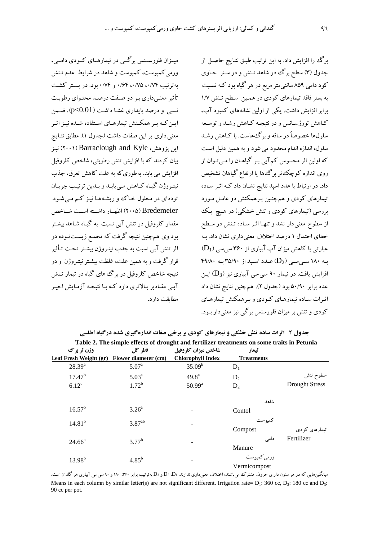مینزان فلورستنس برگئے در تبمارهبای کیودی دامبے،

ورمی کمپوست، کمپوست و شاهد در شرایط عدم تـنش

به تو تیب ۰/۶۴ ، ۰/۷۵ ، ۰/۶۴ و ۰/۷۴ بود. در بسته کشت تأثیر معنبی داری به دو صفت درصد محتوای رطوبت

نسبی و درصد پایداری غشـا داشـت ( p<0.01). ضـمن

ایـن کـه بـر همکـنش تیمارهـای اسـتفاده شـده نیـز اثـر

معنى دارى بر اين صفات داشت (جدول ۱). مطابق نتـايج این یژوهش، Barraclough and Kyle) نیز

بیان کردند که با افزایش تنش رطوبتی، شاخص کلروفیل

افزايش مي يابد. بهطوري كه به علت كاهش تعرق، جذب نيتـروژن گيـاه كـاهش مـي يابـد و بـدين ترتيـب جريـان

تودهای در محلول خـاک وریشـههـا نیـز کـم مـی شـود.

Bredemeier (۲۰۰۵) اظهیار داشته است شیاخص مقدار کلروفیل در تنش آبی نسبت به گیـاه شـاهد بیشـتر

بود وی همچنین نتیجه گرفت که تجمع زیستتوده در

اثر تنش آبي نسبت به جذب نيتـروژن بيشـتر تحـت تـأثير

قرار گرفت و به همین علت، غلظت بیشتر نیتـروژن و در

.<br>نتبجه شاخص کلروفیل در برگ های گیاه در تبمار تـنش

آبے مقـادیر بـالاتری دارد کـه بـا نتیجـه آزمـایش اخیـر

برگ را افزایش داد. به این ترتیب طبق نتـایج حاصـل از جدول (۳) سطح برگ در شاهد تـنش و در سـتر حـاوي کود دامی ۸۵۹ سانتیمتر مربع در هر گیاه بود کـه نسـبت به بستر فاقد تیمارهای کودی در همین سطح تنش ۱/۷ برابر افزایش داشت. یکی از اولین نشانههای کمبود آب، کـاهش تورژسـانس و در نتیجـه کـاهش رشـد و توسـعه سلولها خصوصاً در ساقه و برگ هاست. با کـاهش رشـد سلول، اندازه اندام محدود می شود و به همین دلیل است که اولین اثر محسوس کم آبی بـر گیاهـان را مـی تـوان از روی اندازه کوچک تر برگ ها یا ارتفاع گیاهان تشخیص داد. در ارتباط با عدد اسید نتایج نشـان داد کـه اثـر سـاده تیمارهای کودی و همچنین برهمکنش دو عامل مورد بررسی (تیمارهای کودی و تنش خشکی) در هیچ یک از سطوح معنی دار نشد و تنهـا اثـر سـاده تـنش در سـطح خطای احتمال ۱ در صد اختلاف معنی داری نشان داد. به  $(D_1)$  عبارتی با کاهش میزان آب آبیاری از ۳۶۰ سی سی به ۱۸۰ سے سے (D2) عدد اسید از ۳۵/۹۰ به ۴۹/۸۰ افزایش یافت. در تیمار ۹۰ سے سے آباری نیز (D<sub>3</sub>) این عدد برابر ۵۰/۹۰ بود (جدول ۲). هم چنین نتایج نشان داد اثیرات ساده تبمارهای کیودی و ب همکنش تبمارهای کو دی و تنش بر میزان فلورسنس برگی نیز معنی دار بـود.

وزن تر برگ قطر گل شاخص ميزان كلروفيل تىمار **Chlorophyll Index** Leaf Fresh Weight (gr) Flower diameter (cm) **Treatments**  $28.39^{8}$  $5.07<sup>a</sup>$  $35.09^{b}$  $D_1$  $17.47^{b}$ سطوح تنش  $5.03<sup>a</sup>$  $49.8<sup>a</sup>$  $D<sub>2</sub>$ **Drought Stress**  $1.72^{b}$  $6.12^{\circ}$  $50.99^{\rm a}$  $D<sub>3</sub>$ شاهد  $16.57^{\rm b}$  $3.26<sup>a</sup>$ Contol كميو ست  $3.87^{ab}$  $14.81^{b}$ Compost تیمارهای کودی Fertilizer دامى  $377^b$  $24.66^{\circ}$ Manure ورمي كميوست  $13.98^{b}$  $4.85^{b}$ Vermicompost

جدول ۲- اثرات ساده تنش خشکی و تیمارهای کودی بر برخی صفات اندازهگیری شده درگیاه اطلسی Table 2. The simple effects of drought and fertilizer treatments on some traits in Petunia

مطابقت دارد.

میانگینهایی که در هر ستون دارای حروف مشترک میباشند، اختلاف معنیداری ندارند. D1 و D3 و D3 بهترتیب برابر ۴۶۰ ۱۸۰ و ۹۰ سی سی آبیاری هر گلدان است. Means in each column by similar letter(s) are not significant different. Irrigation rate=  $D_1$ : 360 cc,  $D_2$ : 180 cc and  $D_3$ : 90 cc per pot.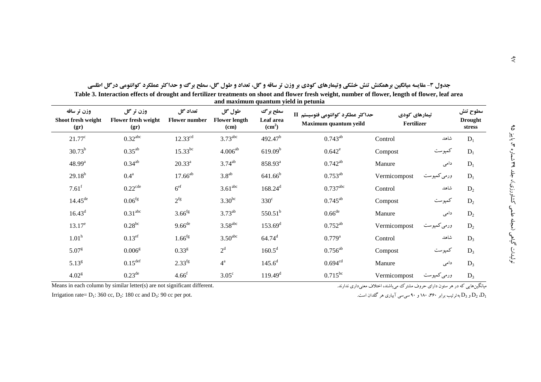| وزن تر ساقه<br>Shoot fresh weight<br>(gr) | وزن تر گل<br>Flower fresh weight<br>(gr) | تعداد گل<br><b>Flower number</b> | طول گل<br><b>Flower length</b><br>(cm) | سطح بر گ<br>Leaf area<br>(cm <sup>2</sup> ) | حداكثر عملكرد كوانتومي فتوسيستم II<br>Maximum quantum yeild | تیمارهای کودی<br>Fertilizer |             | سطوح تنش<br><b>Drought</b><br>stress |
|-------------------------------------------|------------------------------------------|----------------------------------|----------------------------------------|---------------------------------------------|-------------------------------------------------------------|-----------------------------|-------------|--------------------------------------|
| $21.77^{\circ}$                           | $0.32$ <sup>abc</sup>                    | $12.33^{cd}$                     | $3.73$ <sup>abc</sup>                  | 492.47 <sup>b</sup>                         | $0.743^{ab}$                                                | Control                     | شاهد        | $D_1$                                |
| $30.73^{b}$                               | $0.35^{ab}$                              | $15.33^{bc}$                     | $4.006^{ab}$                           | 619.09 <sup>b</sup>                         | $0.642^e$                                                   | Compost                     | كمپوست      | $D_1$                                |
| $48.99^{a}$                               | $0.34^{ab}$                              | $20.33^a$                        | $3.74^{ab}$                            | 858.93 <sup>a</sup>                         | $0.742^{ab}$                                                | Manure                      | دامی        | $D_1$                                |
| $29.18^{b}$                               | $0.4^{\mathrm{a}}$                       | $17.66^{ab}$                     | $3.8^{ab}$                             | $641.66^{b}$                                | $0.753^{ab}$                                                | Vermicompost                | ورمي كمپوست | $D_1$                                |
| $7.61$ <sup>f</sup>                       | $0.22$ <sup>cde</sup>                    | 6 <sup>ef</sup>                  | 3.61 <sup>abc</sup>                    | $168.24^{d}$                                | $0.737$ <sup>abc</sup>                                      | Control                     | شاهد        | $D_2$                                |
| $14.45^{de}$                              | 0.06 <sup>fg</sup>                       | 2 <sup>fg</sup>                  | $3.30^{bc}$                            | $330^\circ$                                 | $0.745^{ab}$                                                | Compost                     | كمپوست      | $D_2$                                |
| $16.43^d$                                 | 0.31 <sup>abc</sup>                      | $3.66$ <sup>fg</sup>             | $3.73^{ab}$                            | $550.51^{b}$                                | $0.66$ <sup>de</sup>                                        | Manure                      | دامی        | $D_2$                                |
| $13.17^e$                                 | $0.28^{bc}$                              | $9.66$ <sup>de</sup>             | $3.58$ <sup>abc</sup>                  | 153.69 <sup>d</sup>                         | $0.752^{ab}$                                                | Vermicompost                | ورمي كمپوست | $D_2$                                |
| 1.01 <sup>h</sup>                         | $0.13$ ef                                | $1.66$ <sup>fg</sup>             | 3.50 <sup>abc</sup>                    | $64.74^d$                                   | $0.779^{a}$                                                 | Control                     | شاهد        | $D_3$                                |
| 5.07 <sup>g</sup>                         | 0.006 <sup>g</sup>                       | 0.33 <sup>g</sup>                | $2^d$                                  | $160.5^d$                                   | $0.756^{ab}$                                                | Compost                     | كمپوست      | $D_3$                                |
| $5.13^{g}$                                | $0.15^{\text{def}}$                      | $2.33^{fg}$                      | $4^{\mathrm{a}}$                       | $145.6^{d}$                                 | $0.694^{cd}$                                                | Manure                      | دامی        | $D_3$                                |
| 4.02 <sup>g</sup>                         | $0.23^{\text{de}}$                       | $4.66^{\rm f}$                   | $3.05^{\circ}$                         | $119.49^d$                                  | $0.715^{bc}$                                                | Vermicompost                | ورمي كمپوست | $D_3$                                |

جدول ۳- مقایسه میانگین برهمکنش تنش خشکی وتیمارهای کودی بر وزن تر ساقه و گل، تعداد و طول گل، سطح برگ و حداکثر عملکرد کوانتومی درگل اطلسی Table 3. Interaction effects of drought and fertilizer treatments on shoot and flower fresh weight, number of flower, length of flower, leaf area

and maximum quantum yield in petunia

Means in each column by similar letter( $s$ ) are not significant different.

.<br>میانگینهایی که در هر ستون دارای حروف مشترک می باشند، اختلاف معنی داری ندارند.

Irrigation rate=  $D_1$ : 360 cc,  $D_2$ : 180 cc and  $D_3$ : 90 cc per pot.

و D<sub>3</sub> به ترتیب برابر ۳۶۰، ۱۸۰ و ۹۰ سی سی آبیاری هر گلدان است.  $\mathrm{D}_2$  .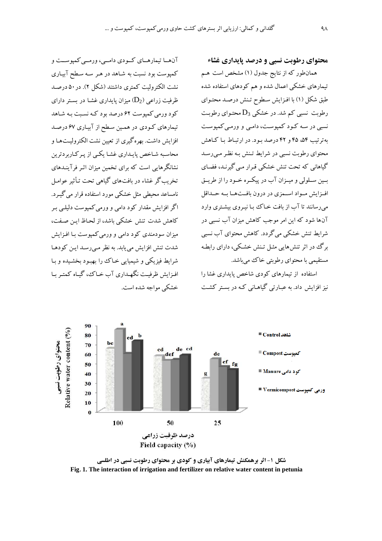آنها تيمارهـاي كـودي دامــي، ورمــي كميوســت و

کمپوست بود نسبت به شاهد در هـر سـه سـطح آبيـاري

نشت الكتروليت كمترى داشتند (شكل ٢). در ۵۰ درصد

ظرفیت زراعی (D2) میزان پایداری غشا در بستر دارای

کود ورمی کمیوست ۶۲ درصد بود کـه نسـبت بـه شـاهد

تیمارهای کودی در همین سطح از آبیاری ۶۷ درصد

افزایش داشت. بهره گیری از تعیین نشت الکترولیتها و

محاسبه شـاخص پایـداری غشـا یکـی از پـرکـاربردترین

نشانگرهایی است که برای تخمین میزان اثیر فرآینـدهای

تخریب گر غشاء در بافتهای گیاهی تحت تـأثیر عوامـل

نامساعد محبطی مثل خشکی مورد استفاده قرار می گسرد.

اگر افزایش مقدار کود دامی و ورمی کمپوست دلیلـی بـر

كاهش شدت تنش خشكي باشد، از لحاظ ايـن صـفت،

میزان سودمندی کود دامی و ورمی کمیوست بـا افـزایش

شدت تنش افزایش می یابد. به نظر مے رسـد ایـن کودهـا

شرايط فيزيكي و شيميايي خـاك را بهبـود بخشـيده و بـا افيزايش ظرفت نگهيداري آب خياك، گياه كمتبر بيا

خشکی مواجه شده است.

محتواي رطوبت نسبي و درصد پايداري غشاء

همان طور که از نتایج جدول (۱) مشخص است هـم تیمارهای خشکی اعمال شده و هم کودهای استفاده شده طبق شکل (۱) با افـزايش سـطوح تـنش درصـد محتـواي رطوبت نسبی کم شد. در خشکی  $\mathrm{D}_3$  محتـوای رطوبـت نسبي در سه كود كمپوست، دامبي و ورمبي كمپوست په تړتیب ۵۴ و. ۴۲ درصد سود. در ارتساط سا کیاهش محتوای رطوبت نسبی در شرایط تـنش بـه نظـر مـی رسـد گیاهانی که تحت تنش خشکی قـرار مـی گیرنـد، فضـای بسین سلولی و میــزان آب در پیکــره خــود را از طریــق افيزايش ميواد اسيمزي در درون بافت هيا سه حيداقل می رسانند تا آب از بافت خـاک ببا نیـروی بیشـتری وارد ۔<br>آنہا شود که این امر موجب کاهش میزان آب نسب*ی* در شرایط تنش خشکی می گردد. کاهش محتوای آب نسبی برگ در اثر تنشهایی مثـل تـنش خشـکی، دارای رابطـه مستقیمی با محتوای رطوبتی خاک می باشد.

استفاده از تیمارهای کودی شاخص پایداری غشا را نیز افزایش داد. به عبـارتی گیاهـانی کـه در بسـتر کشـت



شکل ۱- اثر برهمکنش تیمارهای آبیاری و کودی بر محتوای رطوبت نسبی در اطلسی Fig. 1. The interaction of irrigation and fertilizer on relative water content in petunia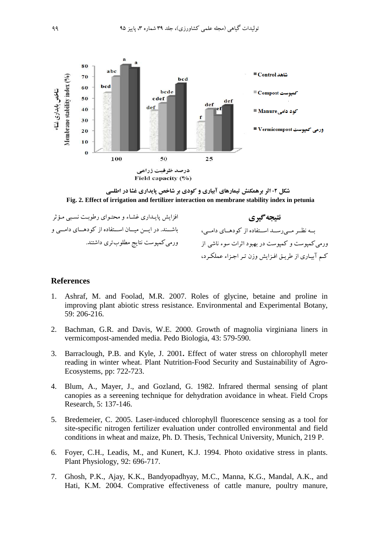

**شکل ۲- اثر برهمکنش تیمارهای آبیاری و کودی بر شاخص پایداری غشا در اطلسی Fig. 2. Effect of irrigation and fertilizer interaction on membrane stability index in petunia** 

| افزایش پایـداری غشـاء و محتـوای رطوبـت نسـبی مـؤثر  | نتيجه گيري                                      |
|-----------------------------------------------------|-------------------------------------------------|
| باشـند. در ايــن ميـان اسـتفاده از كودهـاى دامــى و | به نظر می رسد استفاده از کودهای دامی،           |
| ورمی کمپوست نتایج مطلوبتری داشتند.                  | ورمی کمپوست و کمپوست در بهبود اثرات سوء ناشی از |
|                                                     | کم آبیاری از طریق افزایش وزن تر اجزاء عملکرد،   |

#### **References**

- 1. Ashraf, M. and Foolad, M.R. 2007. Roles of glycine, betaine and proline in improving plant abiotic stress resistance. Environmental and Experimental Botany, 59: 206-216.
- 2. Bachman, G.R. and Davis, W.E. 2000. Growth of magnolia virginiana liners in vermicompost-amended media. Pedo Biologia, 43: 579-590.
- 3. Barraclough, P.B. and Kyle, J. 2001**.** Effect of water stress on chlorophyll meter reading in winter wheat. Plant Nutrition-Food Security and Sustainability of Agro-Ecosystems, pp: 722-723.
- 4. Blum, A., Mayer, J., and Gozland, G. 1982. Infrared thermal sensing of plant canopies as a sereening technique for dehydration avoidance in wheat. Field Crops Research, 5: 137-146.
- 5. Bredemeier, C. 2005. Laser-induced chlorophyll fluorescence sensing as a tool for site-specific nitrogen fertilizer evaluation under controlled environmental and field conditions in wheat and maize, Ph. D. Thesis, Technical University, Munich, 219 P.
- 6. Foyer, C.H., Leadis, M., and Kunert, K.J. 1994. Photo oxidative stress in plants. Plant Physiology, 92: 696-717.
- 7. Ghosh, P.K., Ajay, K.K., Bandyopadhyay, M.C., Manna, K.G., Mandal, A.K., and Hati, K.M. 2004. Comprative effectiveness of cattle manure, poultry manure,